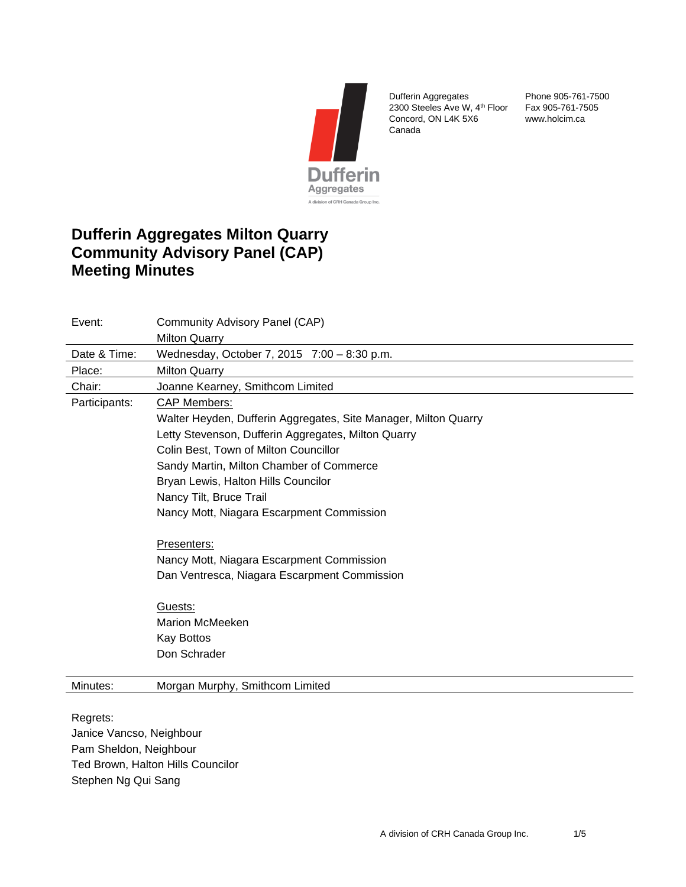

Dufferin Aggregates 2300 Steeles Ave W, 4<sup>th</sup> Floor Fax 905-761-7505 Concord, ON L4K 5X6 Canada

Phone 905-761-7500 www.holcim.ca

# **Dufferin Aggregates Milton Quarry Community Advisory Panel (CAP) Meeting Minutes**

| Event:        | Community Advisory Panel (CAP)                                  |
|---------------|-----------------------------------------------------------------|
|               | <b>Milton Quarry</b>                                            |
| Date & Time:  | Wednesday, October 7, 2015 7:00 - 8:30 p.m.                     |
| Place:        | <b>Milton Quarry</b>                                            |
| Chair:        | Joanne Kearney, Smithcom Limited                                |
| Participants: | <b>CAP Members:</b>                                             |
|               | Walter Heyden, Dufferin Aggregates, Site Manager, Milton Quarry |
|               | Letty Stevenson, Dufferin Aggregates, Milton Quarry             |
|               | Colin Best, Town of Milton Councillor                           |
|               | Sandy Martin, Milton Chamber of Commerce                        |
|               | Bryan Lewis, Halton Hills Councilor                             |
|               | Nancy Tilt, Bruce Trail                                         |
|               | Nancy Mott, Niagara Escarpment Commission                       |
|               | Presenters:                                                     |
|               | Nancy Mott, Niagara Escarpment Commission                       |
|               | Dan Ventresca, Niagara Escarpment Commission                    |
|               | Guests:                                                         |
|               | Marion McMeeken                                                 |
|               | <b>Kay Bottos</b>                                               |
|               | Don Schrader                                                    |
|               |                                                                 |
| Minutes:      | Morgan Murphy, Smithcom Limited                                 |

Regrets: Janice Vancso, Neighbour Pam Sheldon, Neighbour Ted Brown, Halton Hills Councilor Stephen Ng Qui Sang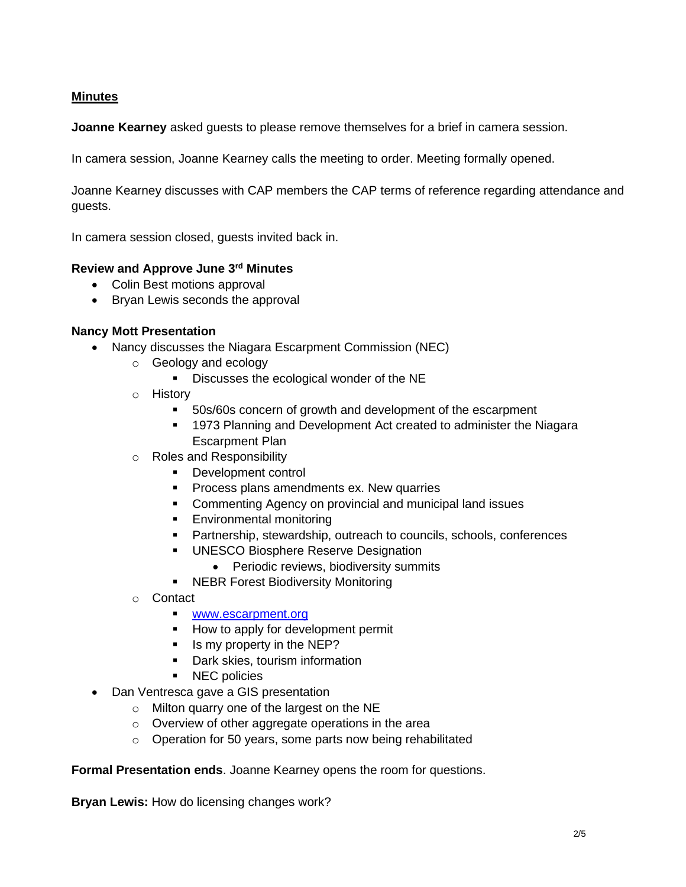# **Minutes**

**Joanne Kearney** asked guests to please remove themselves for a brief in camera session.

In camera session, Joanne Kearney calls the meeting to order. Meeting formally opened.

Joanne Kearney discusses with CAP members the CAP terms of reference regarding attendance and guests.

In camera session closed, guests invited back in.

## **Review and Approve June 3rd Minutes**

- Colin Best motions approval
- Bryan Lewis seconds the approval

#### **Nancy Mott Presentation**

- Nancy discusses the Niagara Escarpment Commission (NEC)
	- o Geology and ecology
		- Discusses the ecological wonder of the NE
	- o History
		- 50s/60s concern of growth and development of the escarpment
		- 1973 Planning and Development Act created to administer the Niagara Escarpment Plan
	- o Roles and Responsibility
		- Development control
		- **Process plans amendments ex. New quarries**
		- Commenting Agency on provincial and municipal land issues
		- Environmental monitoring
		- Partnership, stewardship, outreach to councils, schools, conferences
		- UNESCO Biosphere Reserve Designation
			- Periodic reviews, biodiversity summits
		- NEBR Forest Biodiversity Monitoring
	- o Contact
		- [www.escarpment.org](http://www.escarpment.org/)
		- How to apply for development permit
		- Is my property in the NEP?
		- Dark skies, tourism information
		- NEC policies
- Dan Ventresca gave a GIS presentation
	- o Milton quarry one of the largest on the NE
	- o Overview of other aggregate operations in the area
	- o Operation for 50 years, some parts now being rehabilitated

**Formal Presentation ends**. Joanne Kearney opens the room for questions.

**Bryan Lewis:** How do licensing changes work?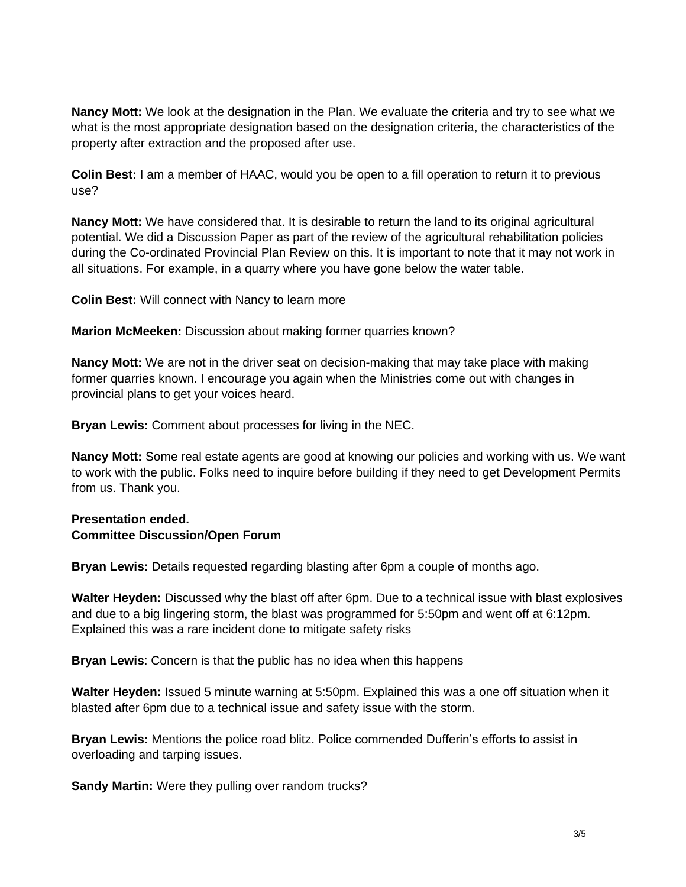**Nancy Mott:** We look at the designation in the Plan. We evaluate the criteria and try to see what we what is the most appropriate designation based on the designation criteria, the characteristics of the property after extraction and the proposed after use.

**Colin Best:** I am a member of HAAC, would you be open to a fill operation to return it to previous use?

**Nancy Mott:** We have considered that. It is desirable to return the land to its original agricultural potential. We did a Discussion Paper as part of the review of the agricultural rehabilitation policies during the Co-ordinated Provincial Plan Review on this. It is important to note that it may not work in all situations. For example, in a quarry where you have gone below the water table.

**Colin Best:** Will connect with Nancy to learn more

**Marion McMeeken:** Discussion about making former quarries known?

**Nancy Mott:** We are not in the driver seat on decision-making that may take place with making former quarries known. I encourage you again when the Ministries come out with changes in provincial plans to get your voices heard.

**Bryan Lewis:** Comment about processes for living in the NEC.

**Nancy Mott:** Some real estate agents are good at knowing our policies and working with us. We want to work with the public. Folks need to inquire before building if they need to get Development Permits from us. Thank you.

# **Presentation ended. Committee Discussion/Open Forum**

**Bryan Lewis:** Details requested regarding blasting after 6pm a couple of months ago.

**Walter Heyden:** Discussed why the blast off after 6pm. Due to a technical issue with blast explosives and due to a big lingering storm, the blast was programmed for 5:50pm and went off at 6:12pm. Explained this was a rare incident done to mitigate safety risks

**Bryan Lewis**: Concern is that the public has no idea when this happens

**Walter Heyden:** Issued 5 minute warning at 5:50pm. Explained this was a one off situation when it blasted after 6pm due to a technical issue and safety issue with the storm.

**Bryan Lewis:** Mentions the police road blitz. Police commended Dufferin's efforts to assist in overloading and tarping issues.

**Sandy Martin:** Were they pulling over random trucks?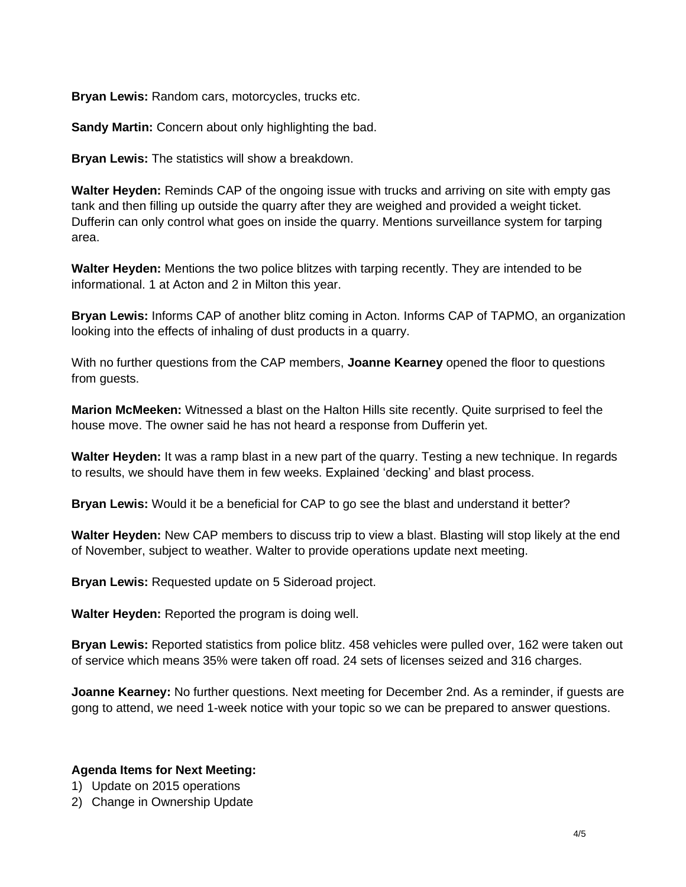**Bryan Lewis:** Random cars, motorcycles, trucks etc.

**Sandy Martin:** Concern about only highlighting the bad.

**Bryan Lewis:** The statistics will show a breakdown.

**Walter Heyden:** Reminds CAP of the ongoing issue with trucks and arriving on site with empty gas tank and then filling up outside the quarry after they are weighed and provided a weight ticket. Dufferin can only control what goes on inside the quarry. Mentions surveillance system for tarping area.

**Walter Heyden:** Mentions the two police blitzes with tarping recently. They are intended to be informational. 1 at Acton and 2 in Milton this year.

**Bryan Lewis:** Informs CAP of another blitz coming in Acton. Informs CAP of TAPMO, an organization looking into the effects of inhaling of dust products in a quarry.

With no further questions from the CAP members, **Joanne Kearney** opened the floor to questions from guests.

**Marion McMeeken:** Witnessed a blast on the Halton Hills site recently. Quite surprised to feel the house move. The owner said he has not heard a response from Dufferin yet.

**Walter Heyden:** It was a ramp blast in a new part of the quarry. Testing a new technique. In regards to results, we should have them in few weeks. Explained 'decking' and blast process.

**Bryan Lewis:** Would it be a beneficial for CAP to go see the blast and understand it better?

**Walter Heyden:** New CAP members to discuss trip to view a blast. Blasting will stop likely at the end of November, subject to weather. Walter to provide operations update next meeting.

**Bryan Lewis:** Requested update on 5 Sideroad project.

**Walter Heyden:** Reported the program is doing well.

**Bryan Lewis:** Reported statistics from police blitz. 458 vehicles were pulled over, 162 were taken out of service which means 35% were taken off road. 24 sets of licenses seized and 316 charges.

**Joanne Kearney:** No further questions. Next meeting for December 2nd. As a reminder, if guests are gong to attend, we need 1-week notice with your topic so we can be prepared to answer questions.

### **Agenda Items for Next Meeting:**

- 1) Update on 2015 operations
- 2) Change in Ownership Update